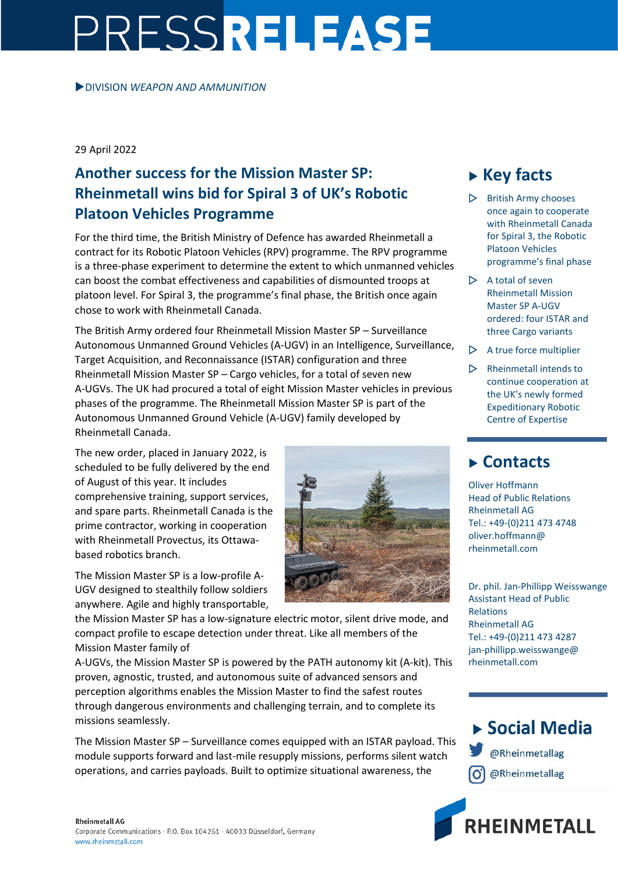## PRESSRELEASE

DIVISION *WEAPON AND AMMUNITION*

29 April 2022

## **Another success for the Mission Master SP: Rheinmetall wins bid for Spiral 3 of UK's Robotic Platoon Vehicles Programme**

For the third time, the British Ministry of Defence has awarded Rheinmetall a contract for its Robotic Platoon Vehicles (RPV) programme. The RPV programme is a three-phase experiment to determine the extent to which unmanned vehicles can boost the combat effectiveness and capabilities of dismounted troops at platoon level. For Spiral 3, the programme's final phase, the British once again chose to work with Rheinmetall Canada.

The British Army ordered four Rheinmetall Mission Master SP – Surveillance Autonomous Unmanned Ground Vehicles (A-UGV) in an Intelligence, Surveillance, Target Acquisition, and Reconnaissance (ISTAR) configuration and three Rheinmetall Mission Master SP – Cargo vehicles, for a total of seven new A-UGVs. The UK had procured a total of eight Mission Master vehicles in previous phases of the programme. The Rheinmetall Mission Master SP is part of the Autonomous Unmanned Ground Vehicle (A-UGV) family developed by Rheinmetall Canada.

The new order, placed in January 2022, is scheduled to be fully delivered by the end of August of this year. It includes comprehensive training, support services, and spare parts. Rheinmetall Canada is the prime contractor, working in cooperation with Rheinmetall Provectus, its Ottawabased robotics branch.

The Mission Master SP is a low-profile A-UGV designed to stealthily follow soldiers anywhere. Agile and highly transportable,



the Mission Master SP has a low-signature electric motor, silent drive mode, and compact profile to escape detection under threat. Like all members of the Mission Master family of

A-UGVs, the Mission Master SP is powered by the PATH autonomy kit (A-kit). This proven, agnostic, trusted, and autonomous suite of advanced sensors and perception algorithms enables the Mission Master to find the safest routes through dangerous environments and challenging terrain, and to complete its missions seamlessly.

The Mission Master SP – Surveillance comes equipped with an ISTAR payload. This module supports forward and last-mile resupply missions, performs silent watch operations, and carries payloads. Built to optimize situational awareness, the

## **Key facts**

- $\triangleright$  British Army chooses once again to cooperate with Rheinmetall Canada for Spiral 3, the Robotic Platoon Vehicles programme's final phase
- $\triangleright$  A total of seven Rheinmetall Mission Master SP A-UGV ordered: four ISTAR and three Cargo variants
- $\triangleright$  A true force multiplier
- $\triangleright$  Rheinmetall intends to continue cooperation at the UK's newly formed Expeditionary Robotic Centre of Expertise

## **Contacts**

Oliver Hoffmann Head of Public Relations Rheinmetall AG Tel.: +49-(0)211 473 4748 oliver.hoffmann@ rheinmetall.com

Dr. phil. Jan-Phillipp Weisswange Assistant Head of Public Relations Rheinmetall AG Tel.: +49-(0)211 473 4287 jan-phillipp.weisswange@ rheinmetall.com